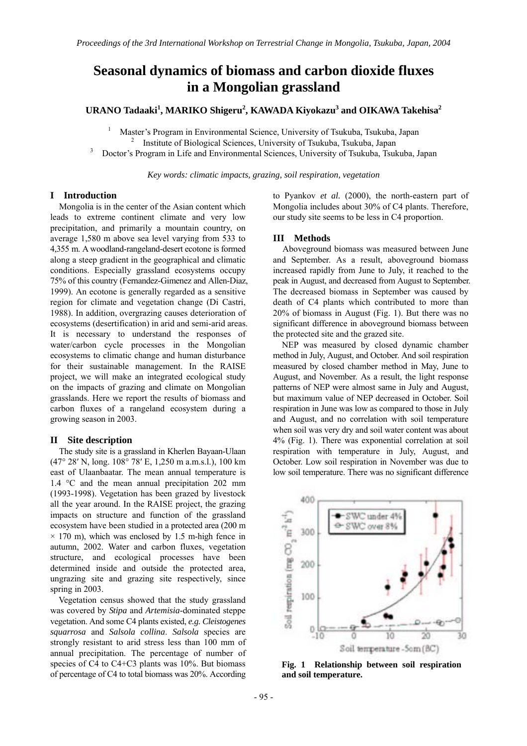# **Seasonal dynamics of biomass and carbon dioxide fluxes in a Mongolian grassland**

**URANO Tadaaki<sup>1</sup> , MARIKO Shigeru<sup>2</sup> , KAWADA Kiyokazu3 and OIKAWA Takehisa<sup>2</sup>**

1 Master's Program in Environmental Science, University of Tsukuba, Tsukuba, Japan 2 Institute of Biological Sciences, University of Tsukuba, Tsukuba, Japan 3

Doctor's Program in Life and Environmental Sciences, University of Tsukuba, Tsukuba, Japan

*Key words: climatic impacts, grazing, soil respiration, vegetation* 

### **I Introduction**

Mongolia is in the center of the Asian content which leads to extreme continent climate and very low precipitation, and primarily a mountain country, on average 1,580 m above sea level varying from 533 to 4,355 m. A woodland-rangeland-desert ecotone is formed along a steep gradient in the geographical and climatic conditions. Especially grassland ecosystems occupy 75% of this country (Fernandez-Gimenez and Allen-Diaz, 1999). An ecotone is generally regarded as a sensitive region for climate and vegetation change (Di Castri, 1988). In addition, overgrazing causes deterioration of ecosystems (desertification) in arid and semi-arid areas. It is necessary to understand the responses of water/carbon cycle processes in the Mongolian ecosystems to climatic change and human disturbance for their sustainable management. In the RAISE project, we will make an integrated ecological study on the impacts of grazing and climate on Mongolian grasslands. Here we report the results of biomass and carbon fluxes of a rangeland ecosystem during a growing season in 2003.

## **II Site description**

The study site is a grassland in Kherlen Bayaan-Ulaan (47° 28′ N, long. 108° 78′ E, 1,250 m a.m.s.l.), 100 km east of Ulaanbaatar. The mean annual temperature is 1.4 °C and the mean annual precipitation 202 mm (1993-1998). Vegetation has been grazed by livestock all the year around. In the RAISE project, the grazing impacts on structure and function of the grassland ecosystem have been studied in a protected area (200 m  $\times$  170 m), which was enclosed by 1.5 m-high fence in autumn, 2002. Water and carbon fluxes, vegetation structure, and ecological processes have been determined inside and outside the protected area, ungrazing site and grazing site respectively, since spring in 2003.

Vegetation census showed that the study grassland was covered by *Stipa* and *Artemisia*-dominated steppe vegetation. And some C4 plants existed, *e.g. Cleistogenes squarrosa* and *Salsola collina*. *Salsola* species are strongly resistant to arid stress less than 100 mm of annual precipitation. The percentage of number of species of C4 to C4+C3 plants was 10%. But biomass of percentage of C4 to total biomass was 20%. According to Pyankov *et al.* (2000), the north-eastern part of Mongolia includes about 30% of C4 plants. Therefore, our study site seems to be less in C4 proportion.

### **III Methods**

Aboveground biomass was measured between June and September. As a result, aboveground biomass increased rapidly from June to July, it reached to the peak in August, and decreased from August to September. The decreased biomass in September was caused by death of C4 plants which contributed to more than 20% of biomass in August (Fig. 1). But there was no significant difference in aboveground biomass between the protected site and the grazed site.

NEP was measured by closed dynamic chamber method in July, August, and October. And soil respiration measured by closed chamber method in May, June to August, and November. As a result, the light response patterns of NEP were almost same in July and August, but maximum value of NEP decreased in October. Soil respiration in June was low as compared to those in July and August, and no correlation with soil temperature when soil was very dry and soil water content was about 4% (Fig. 1). There was exponential correlation at soil respiration with temperature in July, August, and October. Low soil respiration in November was due to low soil temperature. There was no significant difference



**Fig. 1 Relationship between soil respiration and soil temperature.**